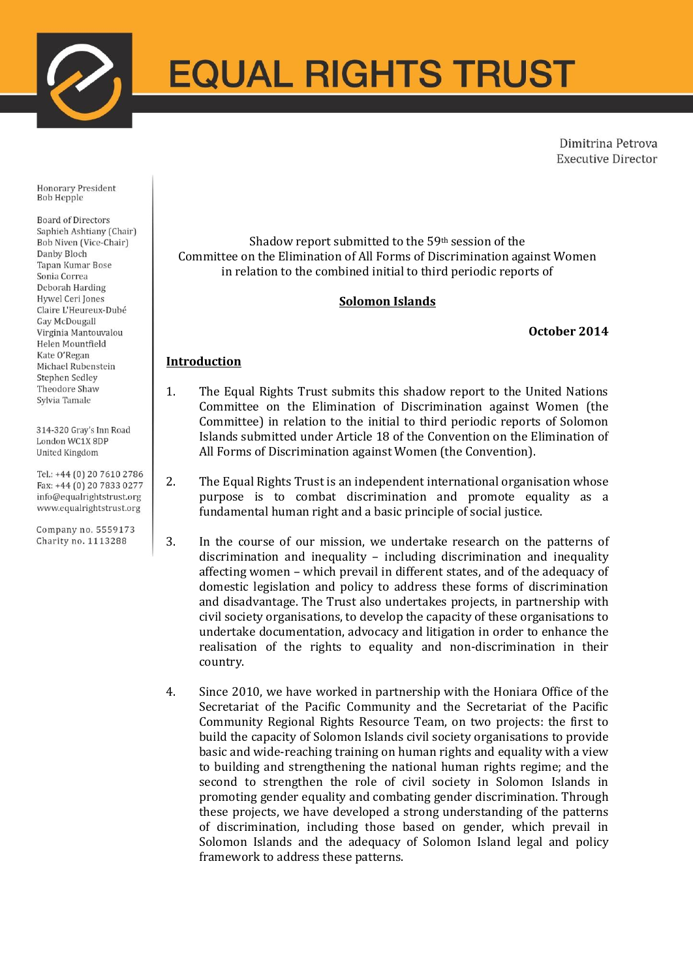

# **EQUAL RIGHTS TRUST**

Dimitrina Petrova **Executive Director** 

Honorary President **Bob Hepple** 

**Board of Directors** Saphieh Ashtiany (Chair) Bob Niven (Vice-Chair) Danby Bloch Tapan Kumar Bose Sonia Correa Deborah Harding **Hywel Ceri Jones** Claire L'Heureux-Dubé Gay McDougall Virginia Mantouvalou Helen Mountfield Kate O'Regan Michael Rubenstein Stephen Sedley Theodore Shaw Svlvia Tamale

314-320 Gray's Inn Road London WC1X 8DP United Kingdom

Tel.: +44 (0) 20 7610 2786 Fax: +44 (0) 20 7833 0277 info@equalrightstrust.org www.equalrightstrust.org

Company no. 5559173 Charity no. 1113288

Shadow report submitted to the 59th session of the Committee on the Elimination of All Forms of Discrimination against Women in relation to the combined initial to third periodic reports of

# **Solomon Islands**

#### **October 2014**

# **Introduction**

- 1. The Equal Rights Trust submits this shadow report to the United Nations Committee on the Elimination of Discrimination against Women (the Committee) in relation to the initial to third periodic reports of Solomon Islands submitted under Article 18 of the Convention on the Elimination of All Forms of Discrimination against Women (the Convention).
- 2. The Equal Rights Trust is an independent international organisation whose purpose is to combat discrimination and promote equality as a fundamental human right and a basic principle of social justice.
- 3. In the course of our mission, we undertake research on the patterns of discrimination and inequality – including discrimination and inequality affecting women – which prevail in different states, and of the adequacy of domestic legislation and policy to address these forms of discrimination and disadvantage. The Trust also undertakes projects, in partnership with civil society organisations, to develop the capacity of these organisations to undertake documentation, advocacy and litigation in order to enhance the realisation of the rights to equality and non-discrimination in their country.
- 4. Since 2010, we have worked in partnership with the Honiara Office of the Secretariat of the Pacific Community and the Secretariat of the Pacific Community Regional Rights Resource Team, on two projects: the first to build the capacity of Solomon Islands civil society organisations to provide basic and wide-reaching training on human rights and equality with a view to building and strengthening the national human rights regime; and the second to strengthen the role of civil society in Solomon Islands in promoting gender equality and combating gender discrimination. Through these projects, we have developed a strong understanding of the patterns of discrimination, including those based on gender, which prevail in Solomon Islands and the adequacy of Solomon Island legal and policy framework to address these patterns.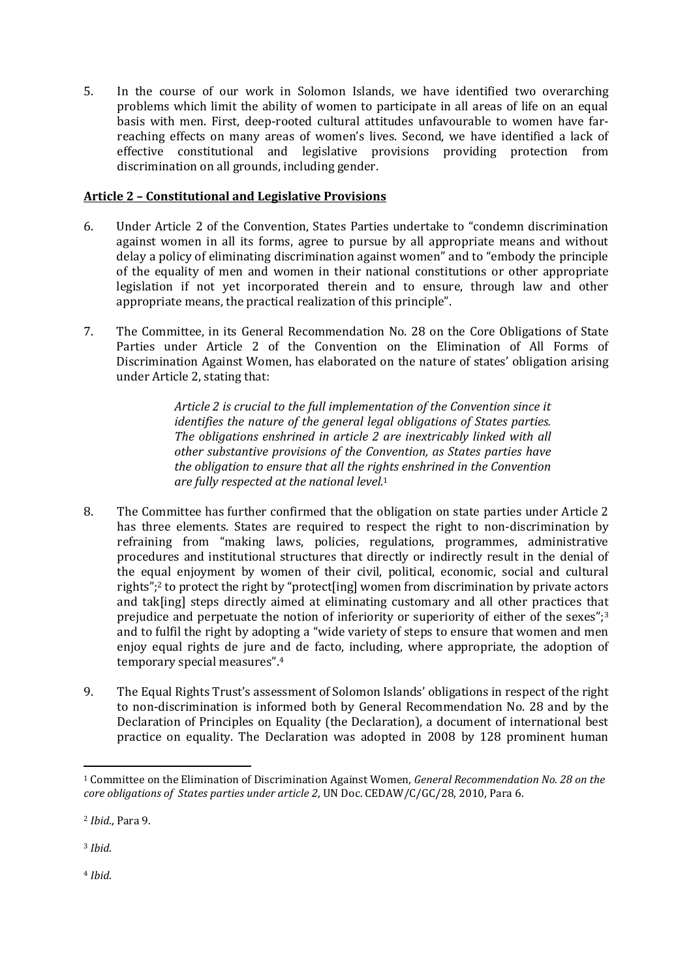5. In the course of our work in Solomon Islands, we have identified two overarching problems which limit the ability of women to participate in all areas of life on an equal basis with men. First, deep-rooted cultural attitudes unfavourable to women have farreaching effects on many areas of women's lives. Second, we have identified a lack of effective constitutional and legislative provisions providing protection from discrimination on all grounds, including gender.

## **Article 2 – Constitutional and Legislative Provisions**

- 6. Under Article 2 of the Convention, States Parties undertake to "condemn discrimination against women in all its forms, agree to pursue by all appropriate means and without delay a policy of eliminating discrimination against women" and to "embody the principle of the equality of men and women in their national constitutions or other appropriate legislation if not yet incorporated therein and to ensure, through law and other appropriate means, the practical realization of this principle".
- 7. The Committee, in its General Recommendation No. 28 on the Core Obligations of State Parties under Article 2 of the Convention on the Elimination of All Forms of Discrimination Against Women, has elaborated on the nature of states' obligation arising under Article 2, stating that:

*Article 2 is crucial to the full implementation of the Convention since it identifies the nature of the general legal obligations of States parties. The obligations enshrined in article 2 are inextricably linked with all other substantive provisions of the Convention, as States parties have the obligation to ensure that all the rights enshrined in the Convention are fully respected at the national level.*<sup>1</sup>

- 8. The Committee has further confirmed that the obligation on state parties under Article 2 has three elements. States are required to respect the right to non-discrimination by refraining from "making laws, policies, regulations, programmes, administrative procedures and institutional structures that directly or indirectly result in the denial of the equal enjoyment by women of their civil, political, economic, social and cultural rights";<sup>2</sup> to protect the right by "protect[ing] women from discrimination by private actors and tak[ing] steps directly aimed at eliminating customary and all other practices that prejudice and perpetuate the notion of inferiority or superiority of either of the sexes";<sup>3</sup> and to fulfil the right by adopting a "wide variety of steps to ensure that women and men enjoy equal rights de jure and de facto, including, where appropriate, the adoption of temporary special measures".<sup>4</sup>
- 9. The Equal Rights Trust's assessment of Solomon Islands' obligations in respect of the right to non-discrimination is informed both by General Recommendation No. 28 and by the Declaration of Principles on Equality (the Declaration), a document of international best practice on equality. The Declaration was adopted in 2008 by 128 prominent human

<sup>3</sup> *Ibid*.

1

<sup>4</sup> *Ibid*.

<sup>1</sup> Committee on the Elimination of Discrimination Against Women, *General Recommendation No. 28 on the core obligations of States parties under article 2*, UN Doc. CEDAW/C/GC/28, 2010, Para 6.

<sup>2</sup> *Ibid*., Para 9.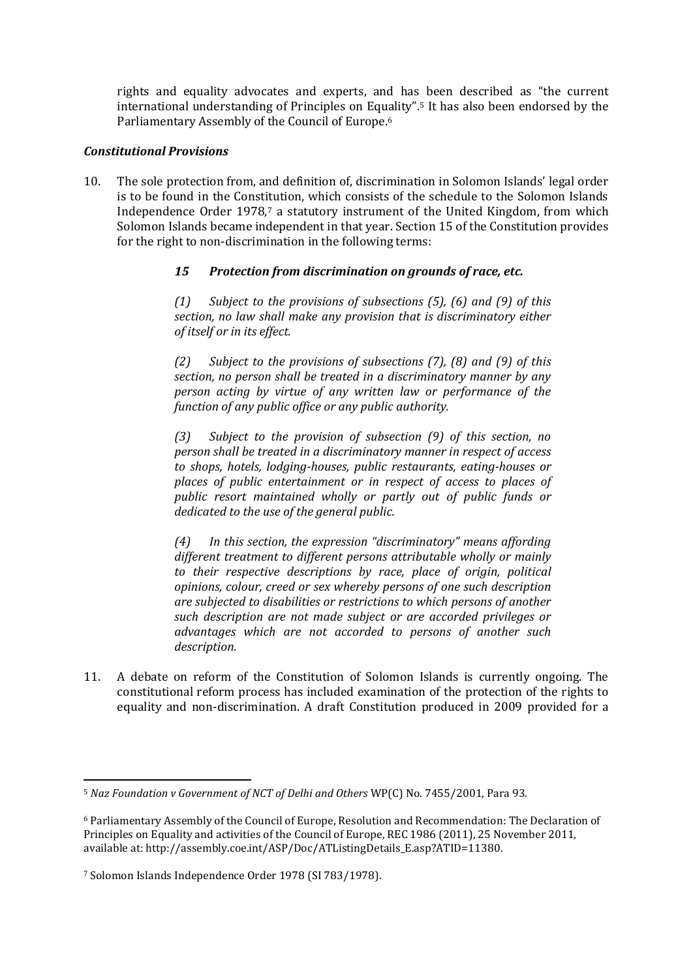rights and equality advocates and experts, and has been described as "the current international understanding of Principles on Equality".<sup>5</sup> It has also been endorsed by the Parliamentary Assembly of the Council of Europe.<sup>6</sup>

#### *Constitutional Provisions*

10. The sole protection from, and definition of, discrimination in Solomon Islands' legal order is to be found in the Constitution, which consists of the schedule to the Solomon Islands Independence Order 1978,<sup>7</sup> a statutory instrument of the United Kingdom, from which Solomon Islands became independent in that year. Section 15 of the Constitution provides for the right to non-discrimination in the following terms:

## *15 Protection from discrimination on grounds of race, etc.*

*(1) Subject to the provisions of subsections (5), (6) and (9) of this section, no law shall make any provision that is discriminatory either of itself or in its effect.*

*(2) Subject to the provisions of subsections (7), (8) and (9) of this section, no person shall be treated in a discriminatory manner by any person acting by virtue of any written law or performance of the function of any public office or any public authority.*

*(3) Subject to the provision of subsection (9) of this section, no person shall be treated in a discriminatory manner in respect of access to shops, hotels, lodging-houses, public restaurants, eating-houses or places of public entertainment or in respect of access to places of public resort maintained wholly or partly out of public funds or dedicated to the use of the general public.*

*(4) In this section, the expression "discriminatory" means affording different treatment to different persons attributable wholly or mainly to their respective descriptions by race, place of origin, political opinions, colour, creed or sex whereby persons of one such description are subjected to disabilities or restrictions to which persons of another such description are not made subject or are accorded privileges or advantages which are not accorded to persons of another such description.*

11. A debate on reform of the Constitution of Solomon Islands is currently ongoing. The constitutional reform process has included examination of the protection of the rights to equality and non-discrimination. A draft Constitution produced in 2009 provided for a

<sup>5</sup> *Naz Foundation v Government of NCT of Delhi and Others* WP(C) No. 7455/2001, Para 93.

<sup>6</sup> Parliamentary Assembly of the Council of Europe, Resolution and Recommendation: The Declaration of Principles on Equality and activities of the Council of Europe, REC 1986 (2011), 25 November 2011, available at[: http://assembly.coe.int/ASP/Doc/ATListingDetails\\_E.asp?ATID=11380.](http://assembly.coe.int/ASP/Doc/ATListingDetails_E.asp?ATID=11380)

<sup>7</sup> Solomon Islands Independence Order 1978 (SI 783/1978).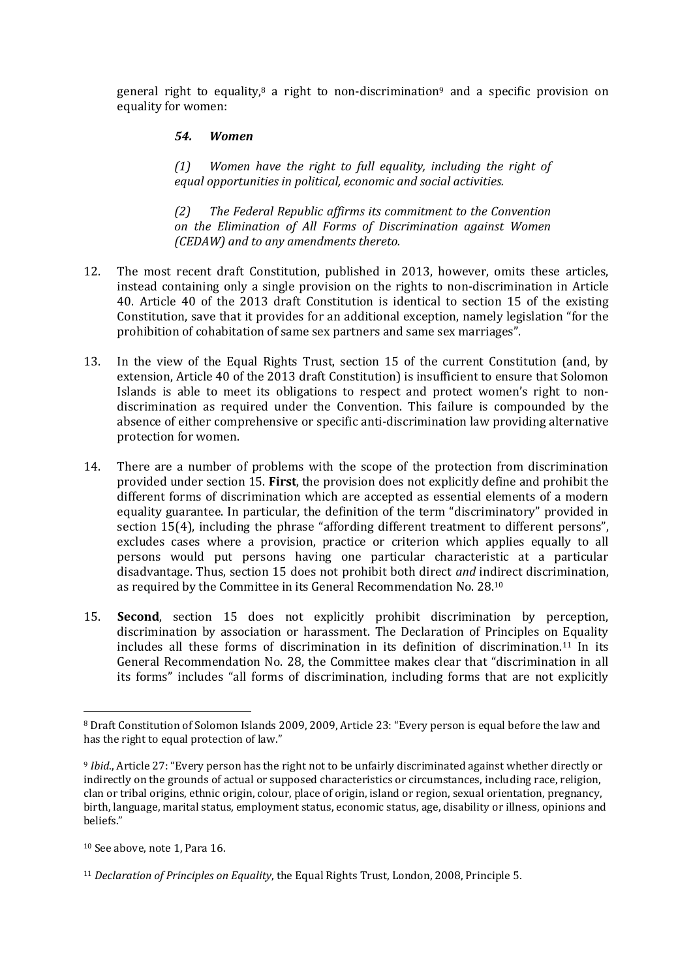general right to equality,<sup>8</sup> a right to non-discrimination<sup>9</sup> and a specific provision on equality for women:

#### *54. Women*

*(1) Women have the right to full equality, including the right of equal opportunities in political, economic and social activities.*

*(2) The Federal Republic affirms its commitment to the Convention on the Elimination of All Forms of Discrimination against Women (CEDAW) and to any amendments thereto.*

- 12. The most recent draft Constitution, published in 2013, however, omits these articles, instead containing only a single provision on the rights to non-discrimination in Article 40. Article 40 of the 2013 draft Constitution is identical to section 15 of the existing Constitution, save that it provides for an additional exception, namely legislation "for the prohibition of cohabitation of same sex partners and same sex marriages".
- 13. In the view of the Equal Rights Trust, section 15 of the current Constitution (and, by extension, Article 40 of the 2013 draft Constitution) is insufficient to ensure that Solomon Islands is able to meet its obligations to respect and protect women's right to nondiscrimination as required under the Convention. This failure is compounded by the absence of either comprehensive or specific anti-discrimination law providing alternative protection for women.
- 14. There are a number of problems with the scope of the protection from discrimination provided under section 15. **First**, the provision does not explicitly define and prohibit the different forms of discrimination which are accepted as essential elements of a modern equality guarantee. In particular, the definition of the term "discriminatory" provided in section 15(4), including the phrase "affording different treatment to different persons", excludes cases where a provision, practice or criterion which applies equally to all persons would put persons having one particular characteristic at a particular disadvantage. Thus, section 15 does not prohibit both direct *and* indirect discrimination, as required by the Committee in its General Recommendation No. 28.<sup>10</sup>
- 15. **Second**, section 15 does not explicitly prohibit discrimination by perception, discrimination by association or harassment. The Declaration of Principles on Equality includes all these forms of discrimination in its definition of discrimination.<sup>11</sup> In its General Recommendation No. 28, the Committee makes clear that "discrimination in all its forms" includes "all forms of discrimination, including forms that are not explicitly

<sup>8</sup> Draft Constitution of Solomon Islands 2009, 2009, Article 23: "Every person is equal before the law and has the right to equal protection of law."

<sup>9</sup> *Ibid*., Article 27: "Every person has the right not to be unfairly discriminated against whether directly or indirectly on the grounds of actual or supposed characteristics or circumstances, including race, religion, clan or tribal origins, ethnic origin, colour, place of origin, island or region, sexual orientation, pregnancy, birth, language, marital status, employment status, economic status, age, disability or illness, opinions and beliefs."

<sup>10</sup> See above, note 1, Para 16.

<sup>11</sup> *Declaration of Principles on Equality*, the Equal Rights Trust, London, 2008, Principle 5.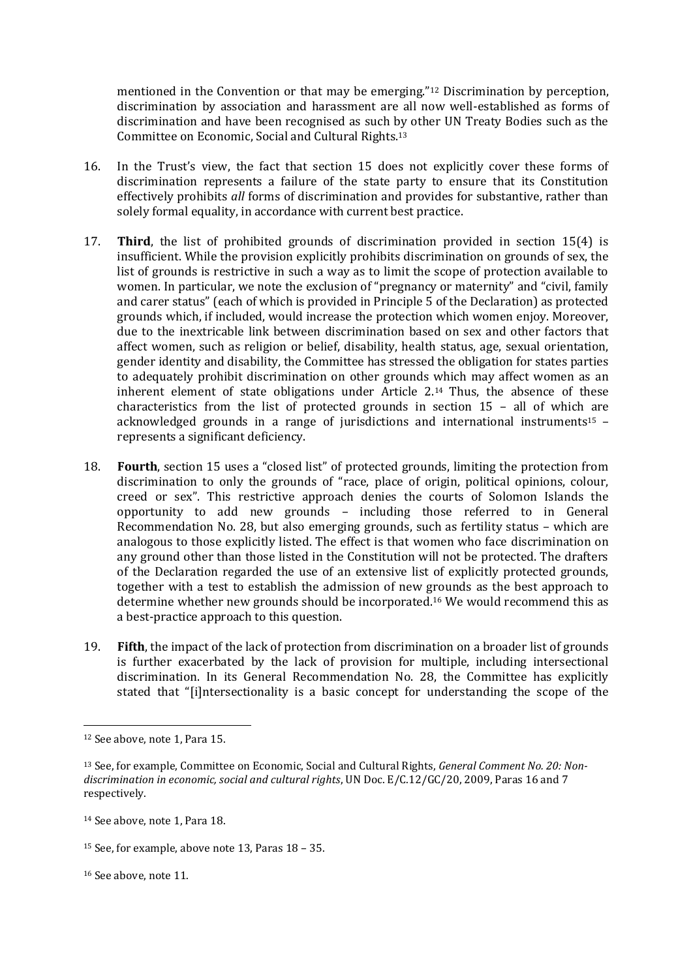mentioned in the Convention or that may be emerging."<sup>12</sup> Discrimination by perception, discrimination by association and harassment are all now well-established as forms of discrimination and have been recognised as such by other UN Treaty Bodies such as the Committee on Economic, Social and Cultural Rights.<sup>13</sup>

- 16. In the Trust's view, the fact that section 15 does not explicitly cover these forms of discrimination represents a failure of the state party to ensure that its Constitution effectively prohibits *all* forms of discrimination and provides for substantive, rather than solely formal equality, in accordance with current best practice.
- 17. **Third**, the list of prohibited grounds of discrimination provided in section 15(4) is insufficient. While the provision explicitly prohibits discrimination on grounds of sex, the list of grounds is restrictive in such a way as to limit the scope of protection available to women. In particular, we note the exclusion of "pregnancy or maternity" and "civil, family and carer status" (each of which is provided in Principle 5 of the Declaration) as protected grounds which, if included, would increase the protection which women enjoy. Moreover, due to the inextricable link between discrimination based on sex and other factors that affect women, such as religion or belief, disability, health status, age, sexual orientation, gender identity and disability, the Committee has stressed the obligation for states parties to adequately prohibit discrimination on other grounds which may affect women as an inherent element of state obligations under Article 2.<sup>14</sup> Thus, the absence of these characteristics from the list of protected grounds in section 15 – all of which are acknowledged grounds in a range of jurisdictions and international instruments<sup>15</sup>  $$ represents a significant deficiency.
- 18. **Fourth**, section 15 uses a "closed list" of protected grounds, limiting the protection from discrimination to only the grounds of "race, place of origin, political opinions, colour, creed or sex". This restrictive approach denies the courts of Solomon Islands the opportunity to add new grounds – including those referred to in General Recommendation No. 28, but also emerging grounds, such as fertility status – which are analogous to those explicitly listed. The effect is that women who face discrimination on any ground other than those listed in the Constitution will not be protected. The drafters of the Declaration regarded the use of an extensive list of explicitly protected grounds, together with a test to establish the admission of new grounds as the best approach to determine whether new grounds should be incorporated.<sup>16</sup> We would recommend this as a best-practice approach to this question.
- 19. **Fifth**, the impact of the lack of protection from discrimination on a broader list of grounds is further exacerbated by the lack of provision for multiple, including intersectional discrimination. In its General Recommendation No. 28, the Committee has explicitly stated that "[i]ntersectionality is a basic concept for understanding the scope of the

1

<sup>12</sup> See above, note 1, Para 15.

<sup>13</sup> See, for example, Committee on Economic, Social and Cultural Rights, *General Comment No. 20: Nondiscrimination in economic, social and cultural rights*, UN Doc. E/C.12/GC/20, 2009, Paras 16 and 7 respectively.

<sup>14</sup> See above, note 1, Para 18.

<sup>15</sup> See, for example, above note 13, Paras 18 – 35.

<sup>16</sup> See above, note 11.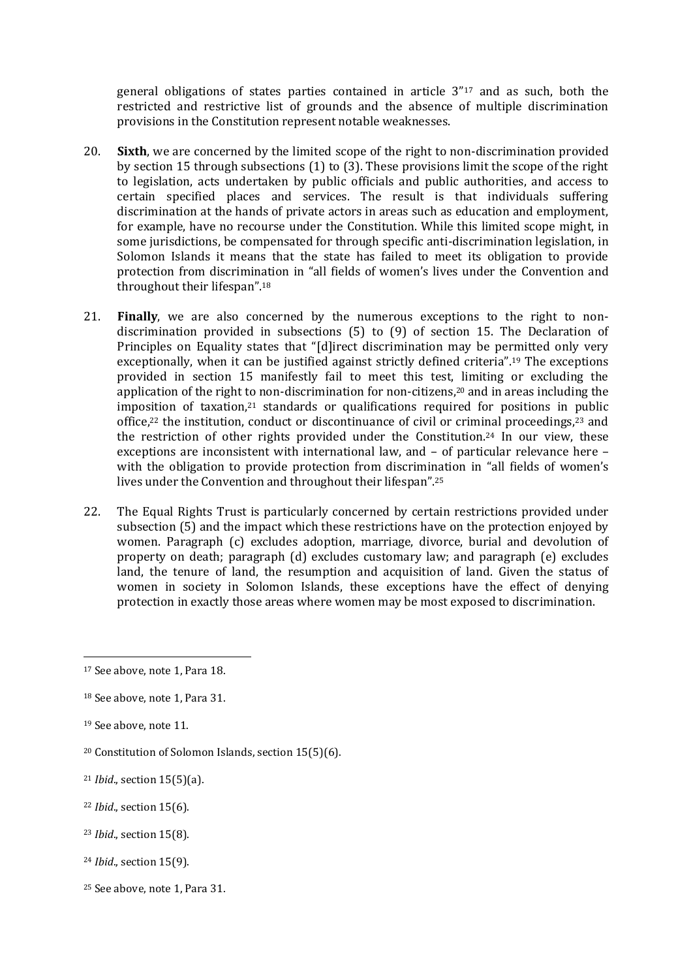general obligations of states parties contained in article 3"<sup>17</sup> and as such, both the restricted and restrictive list of grounds and the absence of multiple discrimination provisions in the Constitution represent notable weaknesses.

- 20. **Sixth**, we are concerned by the limited scope of the right to non-discrimination provided by section 15 through subsections (1) to (3). These provisions limit the scope of the right to legislation, acts undertaken by public officials and public authorities, and access to certain specified places and services. The result is that individuals suffering discrimination at the hands of private actors in areas such as education and employment, for example, have no recourse under the Constitution. While this limited scope might, in some jurisdictions, be compensated for through specific anti-discrimination legislation, in Solomon Islands it means that the state has failed to meet its obligation to provide protection from discrimination in "all fields of women's lives under the Convention and throughout their lifespan".<sup>18</sup>
- 21. **Finally**, we are also concerned by the numerous exceptions to the right to nondiscrimination provided in subsections (5) to (9) of section 15. The Declaration of Principles on Equality states that "[d]irect discrimination may be permitted only very exceptionally, when it can be justified against strictly defined criteria".<sup>19</sup> The exceptions provided in section 15 manifestly fail to meet this test, limiting or excluding the application of the right to non-discrimination for non-citizens,<sup>20</sup> and in areas including the imposition of taxation, $21$  standards or qualifications required for positions in public office,<sup>22</sup> the institution, conduct or discontinuance of civil or criminal proceedings,<sup>23</sup> and the restriction of other rights provided under the Constitution.<sup>24</sup> In our view, these exceptions are inconsistent with international law, and – of particular relevance here – with the obligation to provide protection from discrimination in "all fields of women's lives under the Convention and throughout their lifespan".<sup>25</sup>
- 22. The Equal Rights Trust is particularly concerned by certain restrictions provided under subsection (5) and the impact which these restrictions have on the protection enjoyed by women. Paragraph (c) excludes adoption, marriage, divorce, burial and devolution of property on death; paragraph (d) excludes customary law; and paragraph (e) excludes land, the tenure of land, the resumption and acquisition of land. Given the status of women in society in Solomon Islands, these exceptions have the effect of denying protection in exactly those areas where women may be most exposed to discrimination.

<sup>19</sup> See above, note 11.

- <sup>22</sup> *Ibid*., section 15(6).
- <sup>23</sup> *Ibid*., section 15(8).
- <sup>24</sup> *Ibid*., section 15(9).
- <sup>25</sup> See above, note 1, Para 31.

<sup>17</sup> See above, note 1, Para 18.

<sup>18</sup> See above, note 1, Para 31.

<sup>20</sup> Constitution of Solomon Islands, section 15(5)(6).

<sup>21</sup> *Ibid*., section 15(5)(a).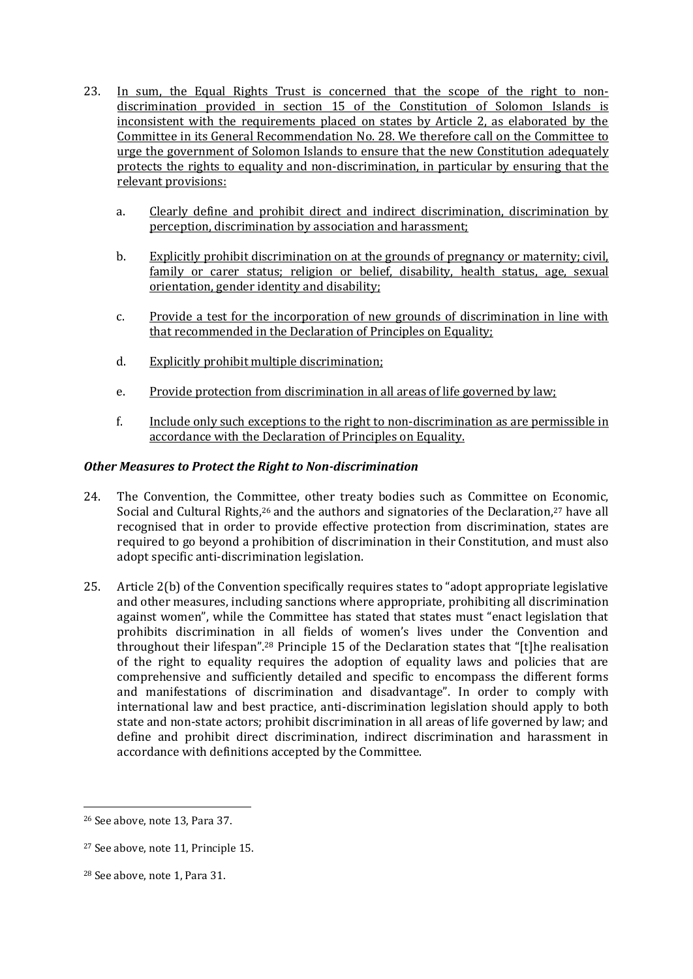- 23. In sum, the Equal Rights Trust is concerned that the scope of the right to nondiscrimination provided in section 15 of the Constitution of Solomon Islands is inconsistent with the requirements placed on states by Article 2, as elaborated by the Committee in its General Recommendation No. 28. We therefore call on the Committee to urge the government of Solomon Islands to ensure that the new Constitution adequately protects the rights to equality and non-discrimination, in particular by ensuring that the relevant provisions:
	- a. Clearly define and prohibit direct and indirect discrimination, discrimination by perception, discrimination by association and harassment;
	- b. Explicitly prohibit discrimination on at the grounds of pregnancy or maternity; civil, family or carer status; religion or belief, disability, health status, age, sexual orientation, gender identity and disability;
	- c. Provide a test for the incorporation of new grounds of discrimination in line with that recommended in the Declaration of Principles on Equality;
	- d. Explicitly prohibit multiple discrimination;
	- e. Provide protection from discrimination in all areas of life governed by law;
	- f. Include only such exceptions to the right to non-discrimination as are permissible in accordance with the Declaration of Principles on Equality.

## *Other Measures to Protect the Right to Non-discrimination*

- 24. The Convention, the Committee, other treaty bodies such as Committee on Economic, Social and Cultural Rights, $26$  and the authors and signatories of the Declaration, $27$  have all recognised that in order to provide effective protection from discrimination, states are required to go beyond a prohibition of discrimination in their Constitution, and must also adopt specific anti-discrimination legislation.
- 25. Article 2(b) of the Convention specifically requires states to "adopt appropriate legislative and other measures, including sanctions where appropriate, prohibiting all discrimination against women", while the Committee has stated that states must "enact legislation that prohibits discrimination in all fields of women's lives under the Convention and throughout their lifespan".<sup>28</sup> Principle 15 of the Declaration states that "[t]he realisation of the right to equality requires the adoption of equality laws and policies that are comprehensive and sufficiently detailed and specific to encompass the different forms and manifestations of discrimination and disadvantage". In order to comply with international law and best practice, anti-discrimination legislation should apply to both state and non-state actors; prohibit discrimination in all areas of life governed by law; and define and prohibit direct discrimination, indirect discrimination and harassment in accordance with definitions accepted by the Committee.

<sup>26</sup> See above, note 13, Para 37.

<sup>27</sup> See above, note 11, Principle 15.

<sup>28</sup> See above, note 1, Para 31.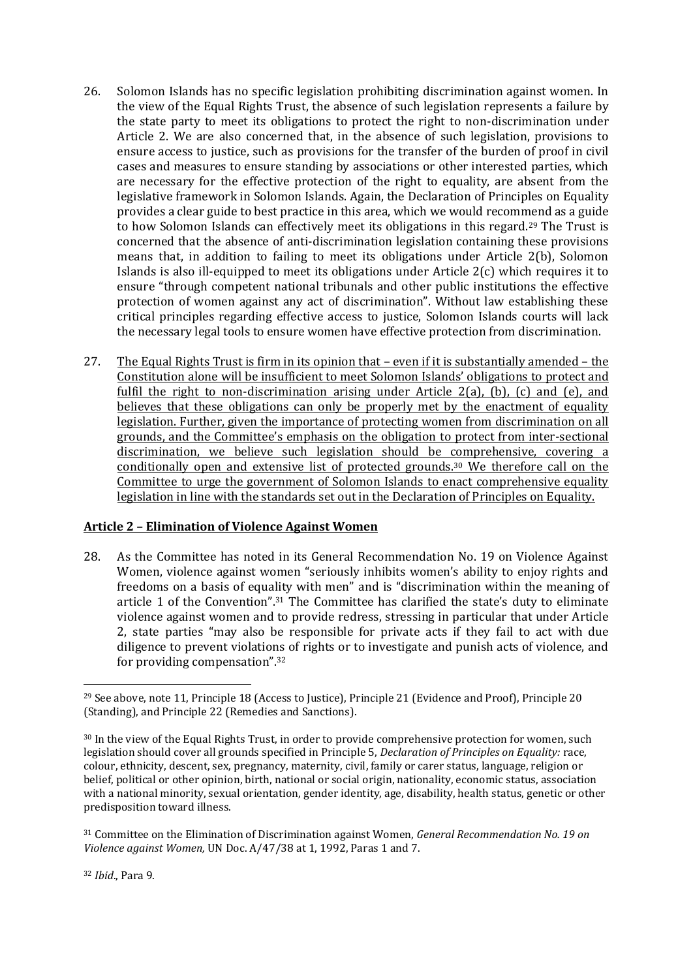- 26. Solomon Islands has no specific legislation prohibiting discrimination against women. In the view of the Equal Rights Trust, the absence of such legislation represents a failure by the state party to meet its obligations to protect the right to non-discrimination under Article 2. We are also concerned that, in the absence of such legislation, provisions to ensure access to justice, such as provisions for the transfer of the burden of proof in civil cases and measures to ensure standing by associations or other interested parties, which are necessary for the effective protection of the right to equality, are absent from the legislative framework in Solomon Islands. Again, the Declaration of Principles on Equality provides a clear guide to best practice in this area, which we would recommend as a guide to how Solomon Islands can effectively meet its obligations in this regard.<sup>29</sup> The Trust is concerned that the absence of anti-discrimination legislation containing these provisions means that, in addition to failing to meet its obligations under Article 2(b), Solomon Islands is also ill-equipped to meet its obligations under Article 2(c) which requires it to ensure "through competent national tribunals and other public institutions the effective protection of women against any act of discrimination". Without law establishing these critical principles regarding effective access to justice, Solomon Islands courts will lack the necessary legal tools to ensure women have effective protection from discrimination.
- 27. The Equal Rights Trust is firm in its opinion that even if it is substantially amended the Constitution alone will be insufficient to meet Solomon Islands' obligations to protect and fulfil the right to non-discrimination arising under Article 2(a), (b), (c) and (e), and believes that these obligations can only be properly met by the enactment of equality legislation. Further, given the importance of protecting women from discrimination on all grounds, and the Committee's emphasis on the obligation to protect from inter-sectional discrimination, we believe such legislation should be comprehensive, covering a conditionally open and extensive list of protected grounds.<sup>30</sup> We therefore call on the Committee to urge the government of Solomon Islands to enact comprehensive equality legislation in line with the standards set out in the Declaration of Principles on Equality.

## **Article 2 – Elimination of Violence Against Women**

28. As the Committee has noted in its General Recommendation No. 19 on Violence Against Women, violence against women "seriously inhibits women's ability to enjoy rights and freedoms on a basis of equality with men" and is "discrimination within the meaning of article 1 of the Convention".<sup>31</sup> The Committee has clarified the state's duty to eliminate violence against women and to provide redress, stressing in particular that under Article 2, state parties "may also be responsible for private acts if they fail to act with due diligence to prevent violations of rights or to investigate and punish acts of violence, and for providing compensation".<sup>32</sup>

**<sup>.</sup>** <sup>29</sup> See above, note 11, Principle 18 (Access to Justice), Principle 21 (Evidence and Proof), Principle 20 (Standing), and Principle 22 (Remedies and Sanctions).

<sup>30</sup> In the view of the Equal Rights Trust, in order to provide comprehensive protection for women, such legislation should cover all grounds specified in Principle 5, *Declaration of Principles on Equality:* race, colour, ethnicity, descent, sex, pregnancy, maternity, civil, family or carer status, language, religion or belief, political or other opinion, birth, national or social origin, nationality, economic status, association with a national minority, sexual orientation, gender identity, age, disability, health status, genetic or other predisposition toward illness.

<sup>31</sup> Committee on the Elimination of Discrimination against Women, *General Recommendation No. 19 on Violence against Women,* UN Doc. A/47/38 at 1, 1992, Paras 1 and 7.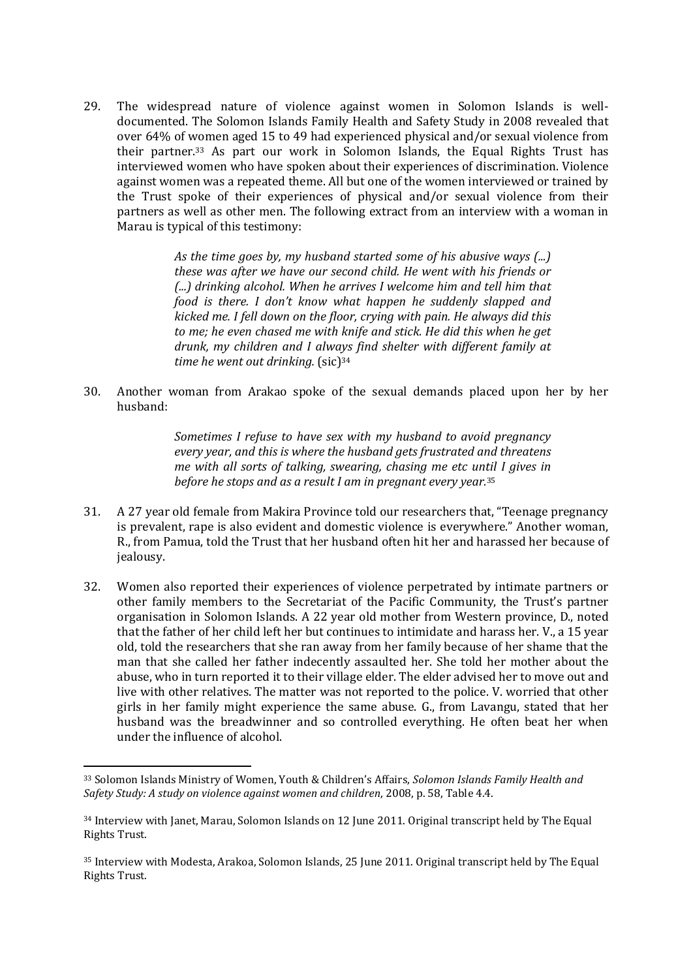29. The widespread nature of violence against women in Solomon Islands is welldocumented. The Solomon Islands Family Health and Safety Study in 2008 revealed that over 64% of women aged 15 to 49 had experienced physical and/or sexual violence from their partner.<sup>33</sup> As part our work in Solomon Islands, the Equal Rights Trust has interviewed women who have spoken about their experiences of discrimination. Violence against women was a repeated theme. All but one of the women interviewed or trained by the Trust spoke of their experiences of physical and/or sexual violence from their partners as well as other men. The following extract from an interview with a woman in Marau is typical of this testimony:

> *As the time goes by, my husband started some of his abusive ways (...) these was after we have our second child. He went with his friends or (...) drinking alcohol. When he arrives I welcome him and tell him that food is there. I don't know what happen he suddenly slapped and kicked me. I fell down on the floor, crying with pain. He always did this to me; he even chased me with knife and stick. He did this when he get drunk, my children and I always find shelter with different family at*  time he went out drinking. (sic)<sup>34</sup>

30. Another woman from Arakao spoke of the sexual demands placed upon her by her husband:

> *Sometimes I refuse to have sex with my husband to avoid pregnancy every year, and this is where the husband gets frustrated and threatens me with all sorts of talking, swearing, chasing me etc until I gives in before he stops and as a result I am in pregnant every year.*<sup>35</sup>

- 31. A 27 year old female from Makira Province told our researchers that, "Teenage pregnancy is prevalent, rape is also evident and domestic violence is everywhere." Another woman, R., from Pamua, told the Trust that her husband often hit her and harassed her because of jealousy.
- 32. Women also reported their experiences of violence perpetrated by intimate partners or other family members to the Secretariat of the Pacific Community, the Trust's partner organisation in Solomon Islands. A 22 year old mother from Western province, D., noted that the father of her child left her but continues to intimidate and harass her. V., a 15 year old, told the researchers that she ran away from her family because of her shame that the man that she called her father indecently assaulted her. She told her mother about the abuse, who in turn reported it to their village elder. The elder advised her to move out and live with other relatives. The matter was not reported to the police. V. worried that other girls in her family might experience the same abuse. G., from Lavangu, stated that her husband was the breadwinner and so controlled everything. He often beat her when under the influence of alcohol.

1

<sup>33</sup> Solomon Islands Ministry of Women, Youth & Children's Affairs, *Solomon Islands Family Health and Safety Study: A study on violence against women and children*, 2008, p. 58, Table 4.4.

<sup>34</sup> Interview with Janet, Marau, Solomon Islands on 12 June 2011. Original transcript held by The Equal Rights Trust.

<sup>35</sup> Interview with Modesta, Arakoa, Solomon Islands, 25 June 2011. Original transcript held by The Equal Rights Trust.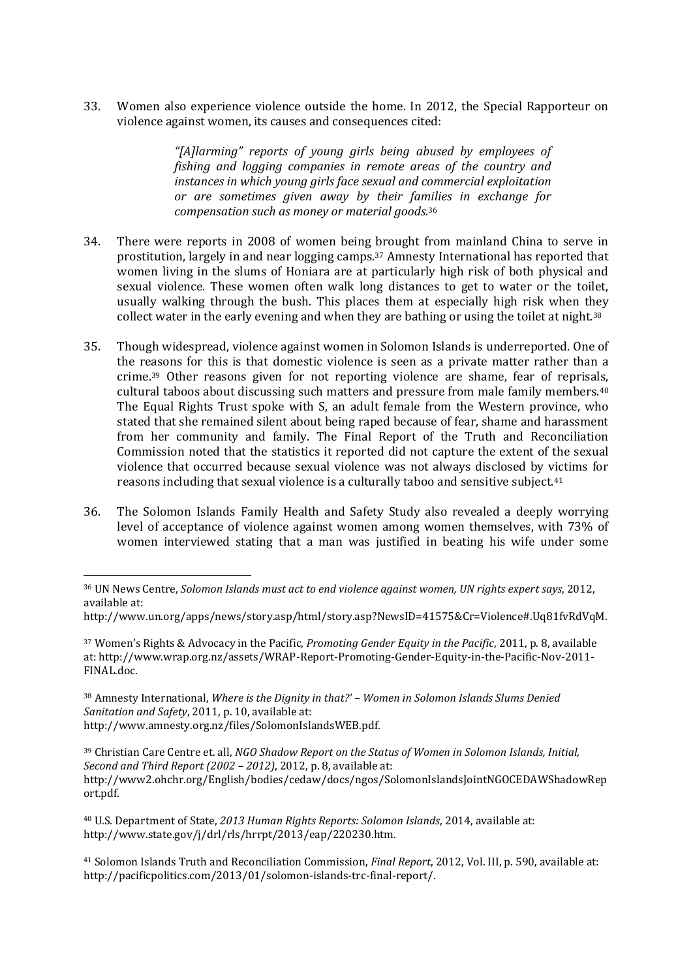33. Women also experience violence outside the home. In 2012, the Special Rapporteur on violence against women, its causes and consequences cited:

> *"[A]larming" reports of young girls being abused by employees of fishing and logging companies in remote areas of the country and instances in which young girls face sexual and commercial exploitation or are sometimes given away by their families in exchange for compensation such as money or material goods.*<sup>36</sup>

- 34. There were reports in 2008 of women being brought from mainland China to serve in prostitution, largely in and near logging camps.<sup>37</sup> Amnesty International has reported that women living in the slums of Honiara are at particularly high risk of both physical and sexual violence. These women often walk long distances to get to water or the toilet, usually walking through the bush. This places them at especially high risk when they collect water in the early evening and when they are bathing or using the toilet at night.<sup>38</sup>
- 35. Though widespread, violence against women in Solomon Islands is underreported. One of the reasons for this is that domestic violence is seen as a private matter rather than a crime.<sup>39</sup> Other reasons given for not reporting violence are shame, fear of reprisals, cultural taboos about discussing such matters and pressure from male family members.<sup>40</sup> The Equal Rights Trust spoke with S, an adult female from the Western province, who stated that she remained silent about being raped because of fear, shame and harassment from her community and family. The Final Report of the Truth and Reconciliation Commission noted that the statistics it reported did not capture the extent of the sexual violence that occurred because sexual violence was not always disclosed by victims for reasons including that sexual violence is a culturally taboo and sensitive subject.<sup>41</sup>
- 36. The Solomon Islands Family Health and Safety Study also revealed a deeply worrying level of acceptance of violence against women among women themselves, with 73% of women interviewed stating that a man was justified in beating his wife under some

1

<sup>36</sup> UN News Centre, *Solomon Islands must act to end violence against women, UN rights expert says*, 2012, available at:

http://www.un.org/apps/news/story.asp/html/story.asp?NewsID=41575&Cr=Violence#.Uq81fvRdVqM.

<sup>37</sup> Women's Rights & Advocacy in the Pacific, *Promoting Gender Equity in the Pacific*, 2011, p. 8, available at: [http://www.wrap.org.nz/assets/WRAP-Report-Promoting-Gender-Equity-in-the-Pacific-Nov-2011-](http://www.wrap.org.nz/assets/WRAP-Report-Promoting-Gender-Equity-in-the-Pacific-Nov-2011-FINAL.doc) [FINAL.doc.](http://www.wrap.org.nz/assets/WRAP-Report-Promoting-Gender-Equity-in-the-Pacific-Nov-2011-FINAL.doc)

<sup>38</sup> Amnesty International, *Where is the Dignity in that?' – Women in Solomon Islands Slums Denied Sanitation and Safety*, 2011, p. 10, available at: http://www.amnesty.org.nz/files/SolomonIslandsWEB.pdf.

<sup>39</sup> Christian Care Centre et. all, *NGO Shadow Report on the Status of Women in Solomon Islands, Initial, Second and Third Report (2002 – 2012)*, 2012, p. 8, available at: http://www2.ohchr.org/English/bodies/cedaw/docs/ngos/SolomonIslandsJointNGOCEDAWShadowRep ort.pdf.

<sup>40</sup> U.S. Department of State, *2013 Human Rights Reports: Solomon Islands*, 2014, available at: http://www.state.gov/j/drl/rls/hrrpt/2013/eap/220230.htm.

<sup>41</sup> Solomon Islands Truth and Reconciliation Commission, *Final Report*, 2012, Vol. III, p. 590, available at: http://pacificpolitics.com/2013/01/solomon-islands-trc-final-report/.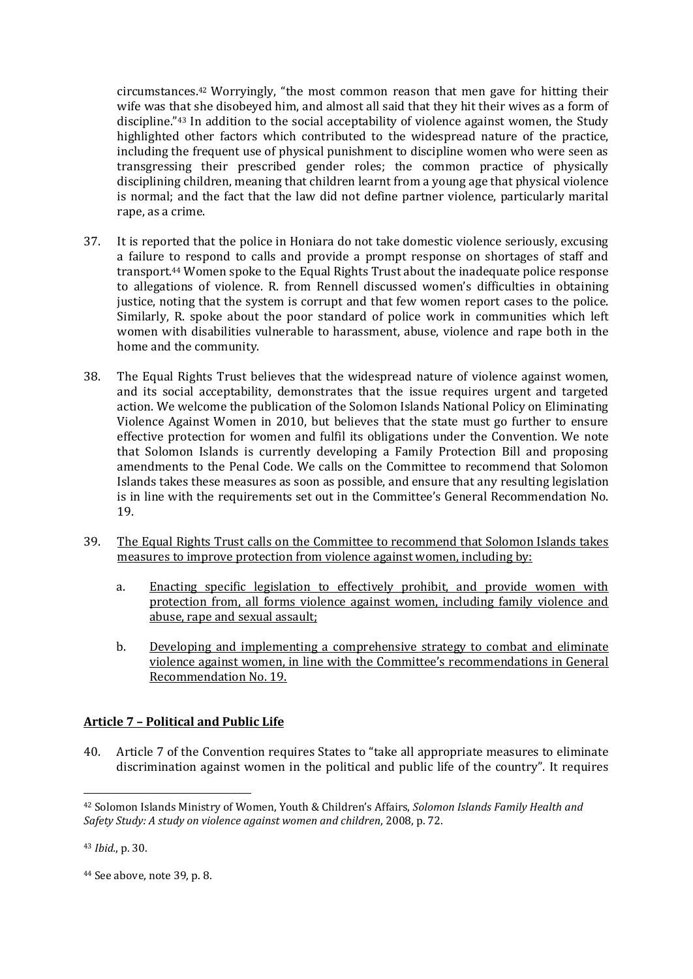circumstances.<sup>42</sup> Worryingly, "the most common reason that men gave for hitting their wife was that she disobeyed him, and almost all said that they hit their wives as a form of discipline."<sup>43</sup> In addition to the social acceptability of violence against women, the Study highlighted other factors which contributed to the widespread nature of the practice, including the frequent use of physical punishment to discipline women who were seen as transgressing their prescribed gender roles; the common practice of physically disciplining children, meaning that children learnt from a young age that physical violence is normal; and the fact that the law did not define partner violence, particularly marital rape, as a crime.

- 37. It is reported that the police in Honiara do not take domestic violence seriously, excusing a failure to respond to calls and provide a prompt response on shortages of staff and transport.<sup>44</sup> Women spoke to the Equal Rights Trust about the inadequate police response to allegations of violence. R. from Rennell discussed women's difficulties in obtaining justice, noting that the system is corrupt and that few women report cases to the police. Similarly, R. spoke about the poor standard of police work in communities which left women with disabilities vulnerable to harassment, abuse, violence and rape both in the home and the community.
- 38. The Equal Rights Trust believes that the widespread nature of violence against women, and its social acceptability, demonstrates that the issue requires urgent and targeted action. We welcome the publication of the Solomon Islands National Policy on Eliminating Violence Against Women in 2010, but believes that the state must go further to ensure effective protection for women and fulfil its obligations under the Convention. We note that Solomon Islands is currently developing a Family Protection Bill and proposing amendments to the Penal Code. We calls on the Committee to recommend that Solomon Islands takes these measures as soon as possible, and ensure that any resulting legislation is in line with the requirements set out in the Committee's General Recommendation No. 19.
- 39. The Equal Rights Trust calls on the Committee to recommend that Solomon Islands takes measures to improve protection from violence against women, including by:
	- a. Enacting specific legislation to effectively prohibit, and provide women with protection from, all forms violence against women, including family violence and abuse, rape and sexual assault;
	- b. Developing and implementing a comprehensive strategy to combat and eliminate violence against women, in line with the Committee's recommendations in General Recommendation No. 19.

# **Article 7 – Political and Public Life**

40. Article 7 of the Convention requires States to "take all appropriate measures to eliminate discrimination against women in the political and public life of the country". It requires

<sup>42</sup> Solomon Islands Ministry of Women, Youth & Children's Affairs, *Solomon Islands Family Health and Safety Study: A study on violence against women and children*, 2008, p. 72.

<sup>43</sup> *Ibid.*, p. 30.

<sup>44</sup> See above, note 39, p. 8.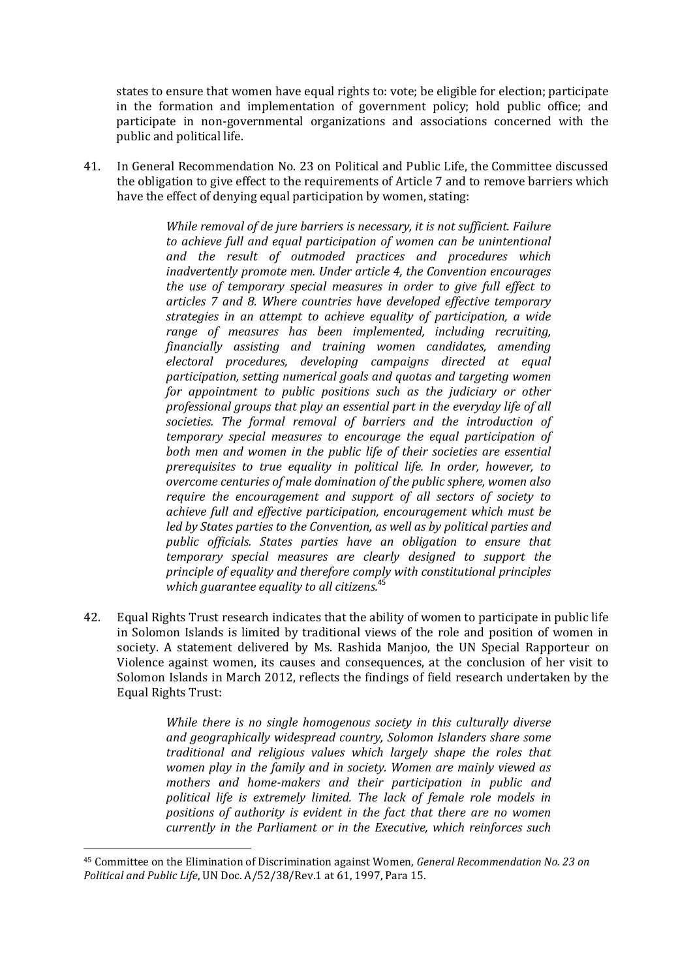states to ensure that women have equal rights to: vote; be eligible for election; participate in the formation and implementation of government policy; hold public office; and participate in non-governmental organizations and associations concerned with the public and political life.

41. In General Recommendation No. 23 on Political and Public Life, the Committee discussed the obligation to give effect to the requirements of Article 7 and to remove barriers which have the effect of denying equal participation by women, stating:

> *While removal of de jure barriers is necessary, it is not sufficient. Failure to achieve full and equal participation of women can be unintentional and the result of outmoded practices and procedures which inadvertently promote men. Under article 4, the Convention encourages the use of temporary special measures in order to give full effect to articles 7 and 8. Where countries have developed effective temporary strategies in an attempt to achieve equality of participation, a wide range of measures has been implemented, including recruiting, financially assisting and training women candidates, amending electoral procedures, developing campaigns directed at equal participation, setting numerical goals and quotas and targeting women for appointment to public positions such as the judiciary or other professional groups that play an essential part in the everyday life of all societies. The formal removal of barriers and the introduction of temporary special measures to encourage the equal participation of both men and women in the public life of their societies are essential prerequisites to true equality in political life. In order, however, to overcome centuries of male domination of the public sphere, women also require the encouragement and support of all sectors of society to achieve full and effective participation, encouragement which must be led by States parties to the Convention, as well as by political parties and public officials. States parties have an obligation to ensure that temporary special measures are clearly designed to support the principle of equality and therefore comply with constitutional principles*  which guarantee equality to all citizens.<sup>4</sup>

42. Equal Rights Trust research indicates that the ability of women to participate in public life in Solomon Islands is limited by traditional views of the role and position of women in society. A statement delivered by Ms. Rashida Manjoo, the UN Special Rapporteur on Violence against women, its causes and consequences, at the conclusion of her visit to Solomon Islands in March 2012, reflects the findings of field research undertaken by the Equal Rights Trust:

> *While there is no single homogenous society in this culturally diverse and geographically widespread country, Solomon Islanders share some traditional and religious values which largely shape the roles that women play in the family and in society. Women are mainly viewed as mothers and home-makers and their participation in public and political life is extremely limited. The lack of female role models in positions of authority is evident in the fact that there are no women currently in the Parliament or in the Executive, which reinforces such*

<sup>45</sup> Committee on the Elimination of Discrimination against Women, *General Recommendation No. 23 on Political and Public Life*, UN Doc. A/52/38/Rev.1 at 61, 1997, Para 15.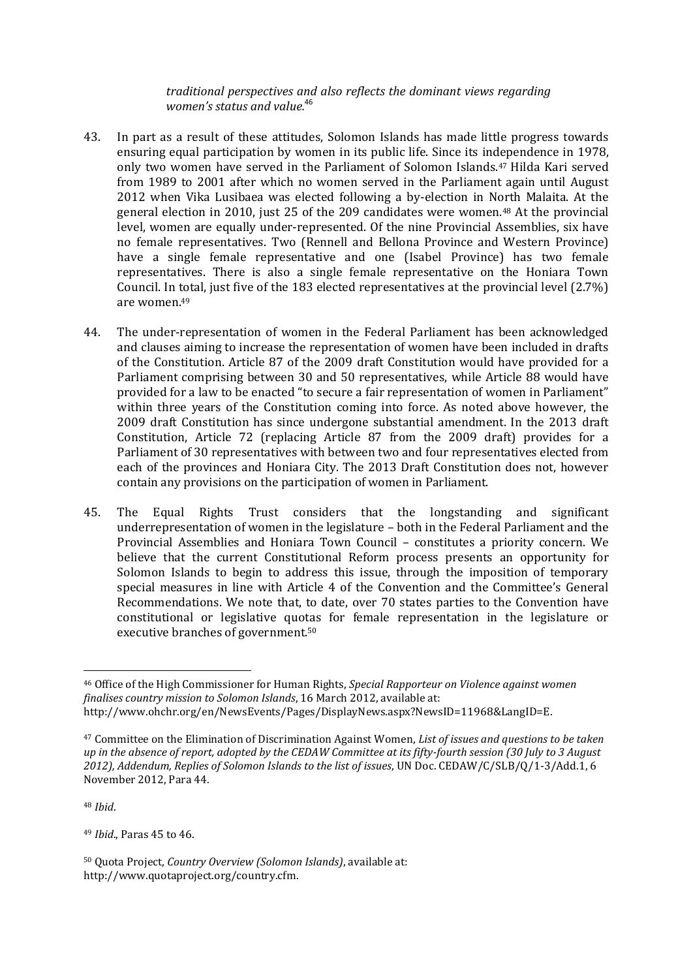*traditional perspectives and also reflects the dominant views regarding women's status and value.*<sup>46</sup>

- 43. In part as a result of these attitudes, Solomon Islands has made little progress towards ensuring equal participation by women in its public life. Since its independence in 1978, only two women have served in the Parliament of Solomon Islands.<sup>47</sup> Hilda Kari served from 1989 to 2001 after which no women served in the Parliament again until August 2012 when Vika Lusibaea was elected following a by-election in North Malaita. At the general election in 2010, just 25 of the 209 candidates were women.<sup>48</sup> At the provincial level, women are equally under-represented. Of the nine Provincial Assemblies, six have no female representatives. Two (Rennell and Bellona Province and Western Province) have a single female representative and one (Isabel Province) has two female representatives. There is also a single female representative on the Honiara Town Council. In total, just five of the 183 elected representatives at the provincial level (2.7%) are women.<sup>49</sup>
- 44. The under-representation of women in the Federal Parliament has been acknowledged and clauses aiming to increase the representation of women have been included in drafts of the Constitution. Article 87 of the 2009 draft Constitution would have provided for a Parliament comprising between 30 and 50 representatives, while Article 88 would have provided for a law to be enacted "to secure a fair representation of women in Parliament" within three years of the Constitution coming into force. As noted above however, the 2009 draft Constitution has since undergone substantial amendment. In the 2013 draft Constitution, Article 72 (replacing Article 87 from the 2009 draft) provides for a Parliament of 30 representatives with between two and four representatives elected from each of the provinces and Honiara City. The 2013 Draft Constitution does not, however contain any provisions on the participation of women in Parliament.
- 45. The Equal Rights Trust considers that the longstanding and significant underrepresentation of women in the legislature – both in the Federal Parliament and the Provincial Assemblies and Honiara Town Council – constitutes a priority concern. We believe that the current Constitutional Reform process presents an opportunity for Solomon Islands to begin to address this issue, through the imposition of temporary special measures in line with Article 4 of the Convention and the Committee's General Recommendations. We note that, to date, over 70 states parties to the Convention have constitutional or legislative quotas for female representation in the legislature or executive branches of government.<sup>50</sup>

<sup>48</sup> *Ibid*.

1

<sup>49</sup> *Ibid*., Paras 45 to 46.

<sup>46</sup> Office of the High Commissioner for Human Rights, *Special Rapporteur on Violence against women finalises country mission to Solomon Islands*, 16 March 2012, available at: http://www.ohchr.org/en/NewsEvents/Pages/DisplayNews.aspx?NewsID=11968&LangID=E.

<sup>47</sup> Committee on the Elimination of Discrimination Against Women, *List of issues and questions to be taken up in the absence of report, adopted by the CEDAW Committee at its fifty-fourth session (30 July to 3 August 2012), Addendum, Replies of Solomon Islands to the list of issues*, UN Doc. CEDAW/C/SLB/Q/1-3/Add.1, 6 November 2012, Para 44.

<sup>50</sup> Quota Project, *Country Overview (Solomon Islands)*, available at: http://www.quotaproject.org/country.cfm.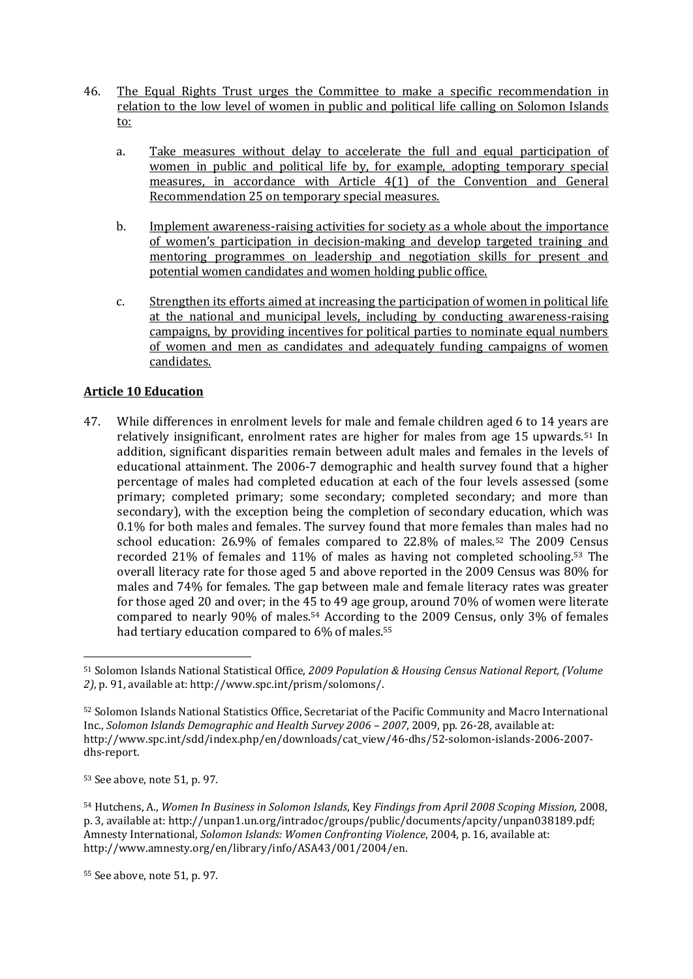- 46. The Equal Rights Trust urges the Committee to make a specific recommendation in relation to the low level of women in public and political life calling on Solomon Islands to:
	- a. Take measures without delay to accelerate the full and equal participation of women in public and political life by, for example, adopting temporary special measures, in accordance with Article 4(1) of the Convention and General Recommendation 25 on temporary special measures.
	- b. Implement awareness-raising activities for society as a whole about the importance of women's participation in decision-making and develop targeted training and mentoring programmes on leadership and negotiation skills for present and potential women candidates and women holding public office.
	- c. Strengthen its efforts aimed at increasing the participation of women in political life at the national and municipal levels, including by conducting awareness-raising campaigns, by providing incentives for political parties to nominate equal numbers of women and men as candidates and adequately funding campaigns of women candidates.

# **Article 10 Education**

47. While differences in enrolment levels for male and female children aged 6 to 14 years are relatively insignificant, enrolment rates are higher for males from age 15 upwards.<sup>51</sup> In addition, significant disparities remain between adult males and females in the levels of educational attainment. The 2006-7 demographic and health survey found that a higher percentage of males had completed education at each of the four levels assessed (some primary; completed primary; some secondary; completed secondary; and more than secondary), with the exception being the completion of secondary education, which was 0.1% for both males and females. The survey found that more females than males had no school education: 26.9% of females compared to 22.8% of males.<sup>52</sup> The 2009 Census recorded 21% of females and 11% of males as having not completed schooling.<sup>53</sup> The overall literacy rate for those aged 5 and above reported in the 2009 Census was 80% for males and 74% for females. The gap between male and female literacy rates was greater for those aged 20 and over; in the 45 to 49 age group, around 70% of women were literate compared to nearly 90% of males.<sup>54</sup> According to the 2009 Census, only 3% of females had tertiary education compared to 6% of males.<sup>55</sup>

<sup>53</sup> See above, note 51, p. 97.

**.** 

<sup>54</sup> Hutchens, A., *Women In Business in Solomon Islands*, Key *Findings from April 2008 Scoping Mission,* 2008, p. 3, available at: http://unpan1.un.org/intradoc/groups/public/documents/apcity/unpan038189.pdf; Amnesty International, *Solomon Islands: Women Confronting Violence*, 2004, p. 16, available at: http://www.amnesty.org/en/library/info/ASA43/001/2004/en.

<sup>55</sup> See above, note 51, p. 97.

<sup>51</sup> Solomon Islands National Statistical Office, *2009 Population & Housing Census National Report, (Volume 2)*, p. 91, available at: http://www.spc.int/prism/solomons/.

<sup>52</sup> Solomon Islands National Statistics Office, Secretariat of the Pacific Community and Macro International Inc., *Solomon Islands Demographic and Health Survey 2006 – 2007*, 2009, pp. 26-28, available at: http://www.spc.int/sdd/index.php/en/downloads/cat\_view/46-dhs/52-solomon-islands-2006-2007 dhs-report.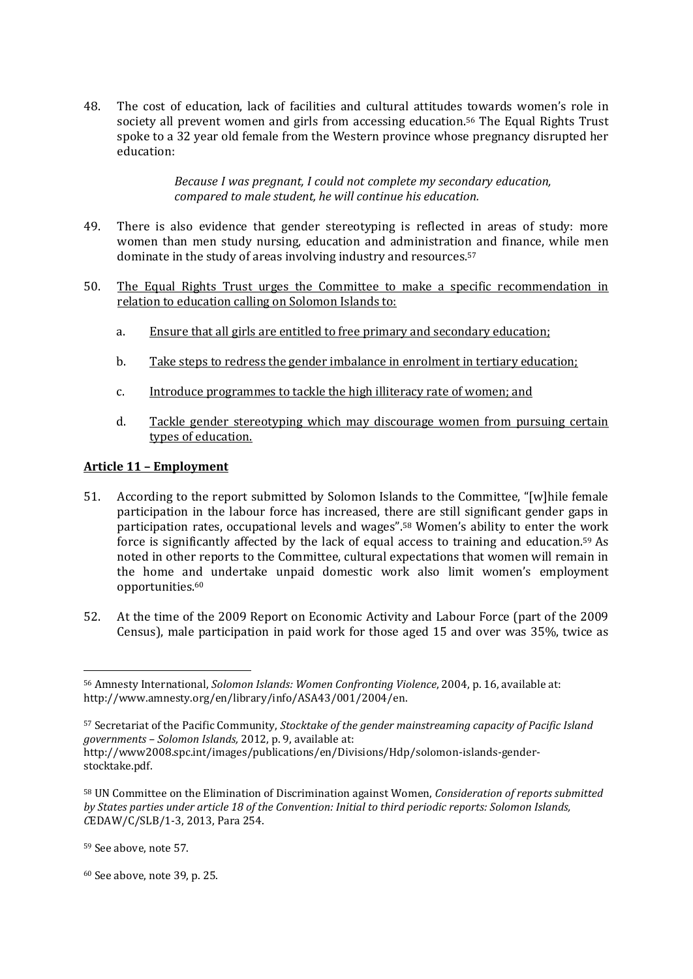48. The cost of education, lack of facilities and cultural attitudes towards women's role in society all prevent women and girls from accessing education.<sup>56</sup> The Equal Rights Trust spoke to a 32 year old female from the Western province whose pregnancy disrupted her education:

> *Because I was pregnant, I could not complete my secondary education, compared to male student, he will continue his education.*

- 49. There is also evidence that gender stereotyping is reflected in areas of study: more women than men study nursing, education and administration and finance, while men dominate in the study of areas involving industry and resources.<sup>57</sup>
- 50. The Equal Rights Trust urges the Committee to make a specific recommendation in relation to education calling on Solomon Islands to:
	- a. Ensure that all girls are entitled to free primary and secondary education;
	- b. Take steps to redress the gender imbalance in enrolment in tertiary education;
	- c. Introduce programmes to tackle the high illiteracy rate of women; and
	- d. Tackle gender stereotyping which may discourage women from pursuing certain types of education.

## **Article 11 – Employment**

- 51. According to the report submitted by Solomon Islands to the Committee, "[w]hile female participation in the labour force has increased, there are still significant gender gaps in participation rates, occupational levels and wages".<sup>58</sup> Women's ability to enter the work force is significantly affected by the lack of equal access to training and education.<sup>59</sup> As noted in other reports to the Committee, cultural expectations that women will remain in the home and undertake unpaid domestic work also limit women's employment opportunities.<sup>60</sup>
- 52. At the time of the 2009 Report on Economic Activity and Labour Force (part of the 2009 Census), male participation in paid work for those aged 15 and over was 35%, twice as

<sup>60</sup> See above, note 39, p. 25.

<sup>1</sup> <sup>56</sup> Amnesty International, *Solomon Islands: Women Confronting Violence*, 2004, p. 16, available at: http://www.amnesty.org/en/library/info/ASA43/001/2004/en.

<sup>57</sup> Secretariat of the Pacific Community, *Stocktake of the gender mainstreaming capacity of Pacific Island governments – Solomon Islands,* 2012, p. 9, available at:

[http://www2008.spc.int/images/publications/en/Divisions/Hdp/solomon-islands-gender](http://www2008.spc.int/images/publications/en/Divisions/Hdp/solomon-islands-gender-stocktake.pdf)[stocktake.pdf.](http://www2008.spc.int/images/publications/en/Divisions/Hdp/solomon-islands-gender-stocktake.pdf)

<sup>58</sup> UN Committee on the Elimination of Discrimination against Women, *Consideration of reports submitted by States parties under article 18 of the Convention: Initial to third periodic reports: Solomon Islands, C*EDAW/C/SLB/1-3, 2013, Para 254.

<sup>59</sup> See above, note 57.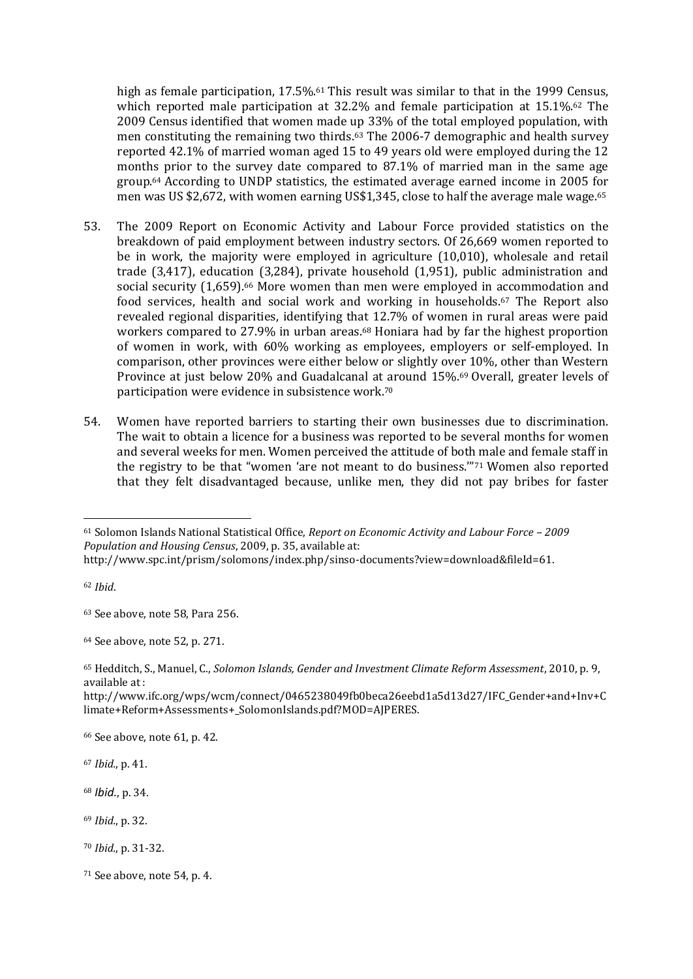high as female participation, 17.5%.<sup>61</sup> This result was similar to that in the 1999 Census, which reported male participation at 32.2% and female participation at 15.1%.<sup>62</sup> The 2009 Census identified that women made up 33% of the total employed population, with men constituting the remaining two thirds.<sup>63</sup> The 2006-7 demographic and health survey reported 42.1% of married woman aged 15 to 49 years old were employed during the 12 months prior to the survey date compared to 87.1% of married man in the same age group.<sup>64</sup> According to UNDP statistics, the estimated average earned income in 2005 for men was US \$2,672, with women earning US\$1,345, close to half the average male wage.<sup>65</sup>

- 53. The 2009 Report on Economic Activity and Labour Force provided statistics on the breakdown of paid employment between industry sectors. Of 26,669 women reported to be in work, the majority were employed in agriculture (10,010), wholesale and retail trade (3,417), education (3,284), private household (1,951), public administration and social security (1,659).<sup>66</sup> More women than men were employed in accommodation and food services, health and social work and working in households.<sup>67</sup> The Report also revealed regional disparities, identifying that 12.7% of women in rural areas were paid workers compared to 27.9% in urban areas.<sup>68</sup> Honiara had by far the highest proportion of women in work, with 60% working as employees, employers or self-employed. In comparison, other provinces were either below or slightly over 10%, other than Western Province at just below 20% and Guadalcanal at around 15%.<sup>69</sup> Overall, greater levels of participation were evidence in subsistence work.<sup>70</sup>
- 54. Women have reported barriers to starting their own businesses due to discrimination. The wait to obtain a licence for a business was reported to be several months for women and several weeks for men. Women perceived the attitude of both male and female staff in the registry to be that "women 'are not meant to do business.'"<sup>71</sup> Women also reported that they felt disadvantaged because, unlike men, they did not pay bribes for faster

<sup>62</sup> *Ibid*.

**.** 

<sup>63</sup> See above, note 58, Para 256.

http://www.ifc.org/wps/wcm/connect/0465238049fb0beca26eebd1a5d13d27/IFC\_Gender+and+Inv+C limate+Reform+Assessments+\_SolomonIslands.pdf?MOD=AJPERES.

<sup>66</sup> See above, note 61, p. 42.

<sup>67</sup> *Ibid.*, p. 41.

<sup>68</sup> *Ibid.*, p. 34.

<sup>69</sup> *Ibid.*, p. 32.

<sup>71</sup> See above, note 54, p. 4.

<sup>61</sup> Solomon Islands National Statistical Office, *Report on Economic Activity and Labour Force – 2009 Population and Housing Census*, 2009, p. 35, available at: [http://www.spc.int/prism/solomons/index.php/sinso-documents?view=download&fileId=61.](http://www.spc.int/prism/solomons/index.php/sinso-documents?view=download&fileId=61)

<sup>64</sup> See above, note 52, p. 271.

<sup>65</sup> Hedditch, S., Manuel, C., *Solomon Islands, Gender and Investment Climate Reform Assessment*, 2010, p. 9, available at :

<sup>70</sup> *Ibid.*, p. 31-32.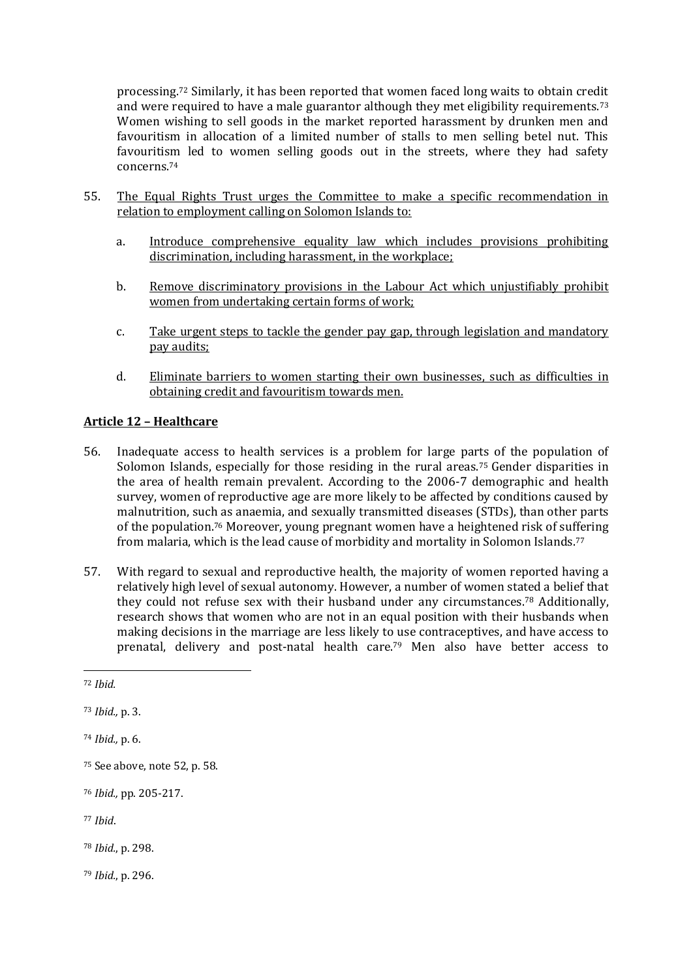processing.<sup>72</sup> Similarly, it has been reported that women faced long waits to obtain credit and were required to have a male guarantor although they met eligibility requirements.<sup>73</sup> Women wishing to sell goods in the market reported harassment by drunken men and favouritism in allocation of a limited number of stalls to men selling betel nut. This favouritism led to women selling goods out in the streets, where they had safety concerns.<sup>74</sup>

- 55. The Equal Rights Trust urges the Committee to make a specific recommendation in relation to employment calling on Solomon Islands to:
	- a. Introduce comprehensive equality law which includes provisions prohibiting discrimination, including harassment, in the workplace;
	- b. Remove discriminatory provisions in the Labour Act which unjustifiably prohibit women from undertaking certain forms of work;
	- c. Take urgent steps to tackle the gender pay gap, through legislation and mandatory pay audits;
	- d. Eliminate barriers to women starting their own businesses, such as difficulties in obtaining credit and favouritism towards men.

## **Article 12 – Healthcare**

- 56. Inadequate access to health services is a problem for large parts of the population of Solomon Islands, especially for those residing in the rural areas.<sup>75</sup> Gender disparities in the area of health remain prevalent. According to the 2006-7 demographic and health survey, women of reproductive age are more likely to be affected by conditions caused by malnutrition, such as anaemia, and sexually transmitted diseases (STDs), than other parts of the population.<sup>76</sup> Moreover, young pregnant women have a heightened risk of suffering from malaria, which is the lead cause of morbidity and mortality in Solomon Islands.<sup>77</sup>
- 57. With regard to sexual and reproductive health, the majority of women reported having a relatively high level of sexual autonomy. However, a number of women stated a belief that they could not refuse sex with their husband under any circumstances.<sup>78</sup> Additionally, research shows that women who are not in an equal position with their husbands when making decisions in the marriage are less likely to use contraceptives, and have access to prenatal, delivery and post-natal health care.<sup>79</sup> Men also have better access to

1

<sup>79</sup> *Ibid.*, p. 296.

<sup>72</sup> *Ibid.*

<sup>73</sup> *Ibid.,* p. 3.

<sup>74</sup> *Ibid.,* p. 6.

<sup>75</sup> See above, note 52, p. 58.

<sup>76</sup> *Ibid.,* pp. 205-217.

<sup>77</sup> *Ibid*.

<sup>78</sup> *Ibid.*, p. 298.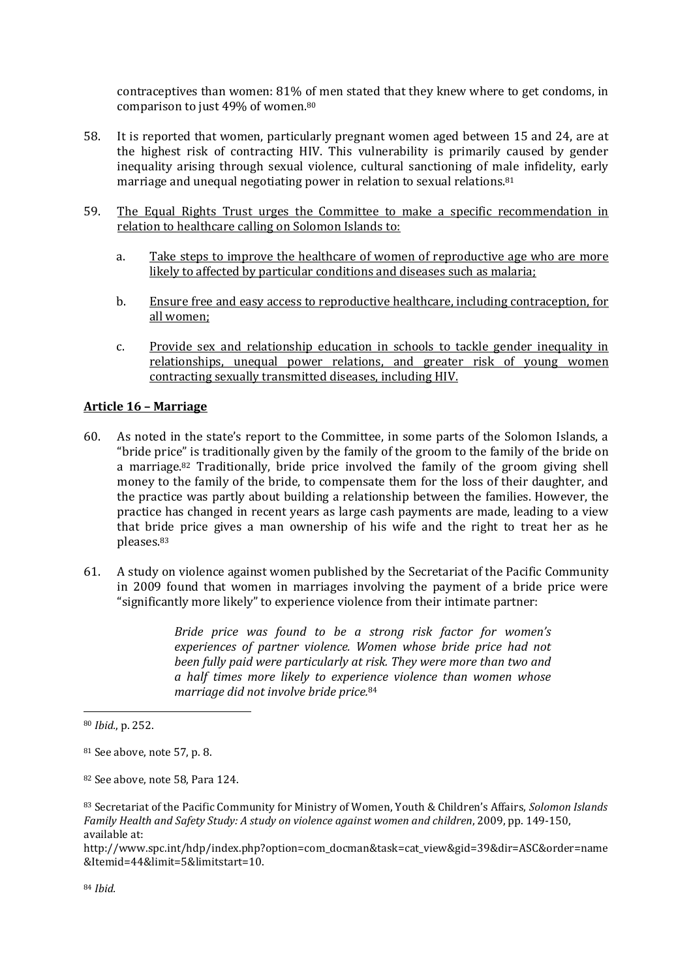contraceptives than women: 81% of men stated that they knew where to get condoms, in comparison to just 49% of women.<sup>80</sup>

- 58. It is reported that women, particularly pregnant women aged between 15 and 24, are at the highest risk of contracting HIV. This vulnerability is primarily caused by gender inequality arising through sexual violence, cultural sanctioning of male infidelity, early marriage and unequal negotiating power in relation to sexual relations.<sup>81</sup>
- 59. The Equal Rights Trust urges the Committee to make a specific recommendation in relation to healthcare calling on Solomon Islands to:
	- a. Take steps to improve the healthcare of women of reproductive age who are more likely to affected by particular conditions and diseases such as malaria;
	- b. Ensure free and easy access to reproductive healthcare, including contraception, for all women;
	- c. Provide sex and relationship education in schools to tackle gender inequality in relationships, unequal power relations, and greater risk of young women contracting sexually transmitted diseases, including HIV.

#### **Article 16 – Marriage**

- 60. As noted in the state's report to the Committee, in some parts of the Solomon Islands, a "bride price" is traditionally given by the family of the groom to the family of the bride on a marriage.<sup>82</sup> Traditionally, bride price involved the family of the groom giving shell money to the family of the bride, to compensate them for the loss of their daughter, and the practice was partly about building a relationship between the families. However, the practice has changed in recent years as large cash payments are made, leading to a view that bride price gives a man ownership of his wife and the right to treat her as he pleases.<sup>83</sup>
- 61. A study on violence against women published by the Secretariat of the Pacific Community in 2009 found that women in marriages involving the payment of a bride price were "significantly more likely" to experience violence from their intimate partner:

*Bride price was found to be a strong risk factor for women's experiences of partner violence. Women whose bride price had not been fully paid were particularly at risk. They were more than two and a half times more likely to experience violence than women whose marriage did not involve bride price.*<sup>84</sup>

<sup>80</sup> *Ibid.*, p. 252.

<sup>81</sup> See above, note 57, p. 8.

<sup>82</sup> See above, note 58, Para 124.

<sup>83</sup> Secretariat of the Pacific Community for Ministry of Women, Youth & Children's Affairs, *Solomon Islands Family Health and Safety Study: A study on violence against women and children*, 2009, pp. 149-150, available at:

[http://www.spc.int/hdp/index.php?option=com\\_docman&task=cat\\_view&gid=39&dir=ASC&order=name](http://www.spc.int/hdp/index.php?option=com_docman&task=cat_view&gid=39&dir=ASC&order=name&Itemid=44&limit=5&limitstart=10) [&Itemid=44&limit=5&limitstart=10.](http://www.spc.int/hdp/index.php?option=com_docman&task=cat_view&gid=39&dir=ASC&order=name&Itemid=44&limit=5&limitstart=10)